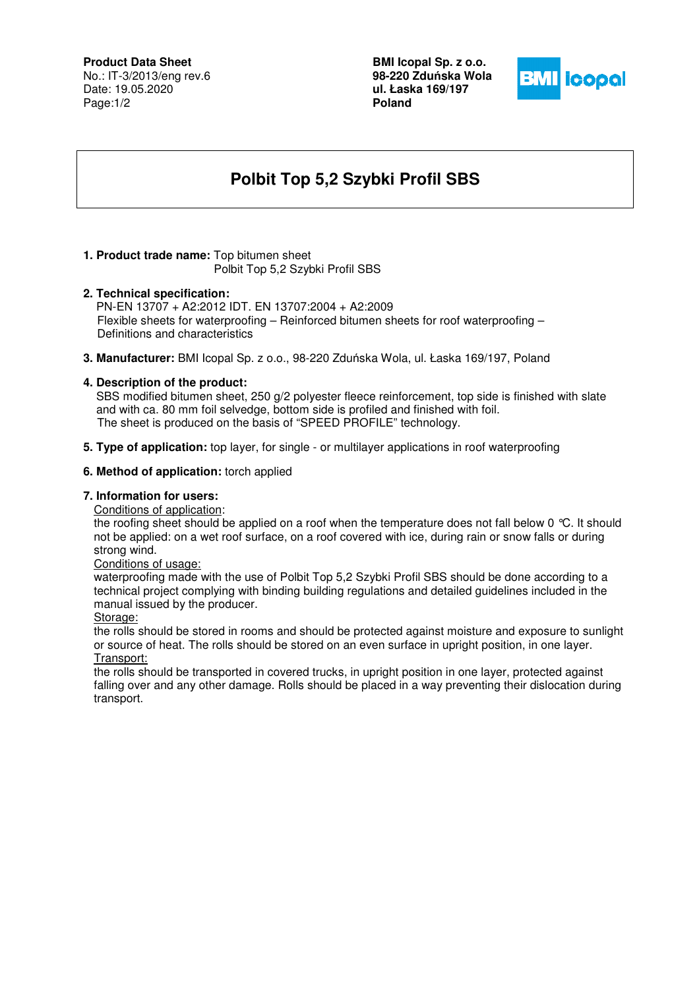### **Product Data Sheet**

No.: IT-3/2013/eng rev.6 Date: 19.05.2020 Page:1/2

**BMI Icopal Sp. z o.o. 98-220 Zdu**ń**ska Wola ul. Łaska 169/197 Poland** 



# **Polbit Top 5,2 Szybki Profil SBS**

# **1. Product trade name:** Top bitumen sheet

Polbit Top 5,2 Szybki Profil SBS

#### **2. Technical specification:**

PN-EN 13707 + A2:2012 IDT. EN 13707:2004 + A2:2009 Flexible sheets for waterproofing – Reinforced bitumen sheets for roof waterproofing – Definitions and characteristics

**3. Manufacturer:** BMI Icopal Sp. z o.o., 98-220 Zduńska Wola, ul. Łaska 169/197, Poland

# **4. Description of the product:**

 SBS modified bitumen sheet, 250 g/2 polyester fleece reinforcement, top side is finished with slate and with ca. 80 mm foil selvedge, bottom side is profiled and finished with foil. The sheet is produced on the basis of "SPEED PROFILE" technology.

**5. Type of application:** top layer, for single - or multilayer applications in roof waterproofing

#### **6. Method of application:** torch applied

# **7. Information for users:**

Conditions of application:

the roofing sheet should be applied on a roof when the temperature does not fall below 0 °C. It should not be applied: on a wet roof surface, on a roof covered with ice, during rain or snow falls or during strong wind.

Conditions of usage:

waterproofing made with the use of Polbit Top 5,2 Szybki Profil SBS should be done according to a technical project complying with binding building regulations and detailed guidelines included in the manual issued by the producer.

Storage:

the rolls should be stored in rooms and should be protected against moisture and exposure to sunlight or source of heat. The rolls should be stored on an even surface in upright position, in one layer. Transport:

the rolls should be transported in covered trucks, in upright position in one layer, protected against falling over and any other damage. Rolls should be placed in a way preventing their dislocation during transport.